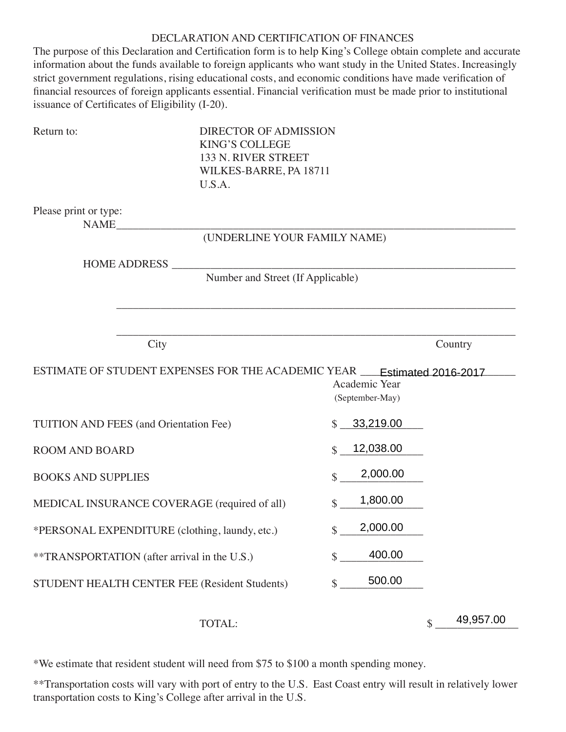### DECLARATION AND CERTIFICATION OF FINANCES

The purpose of this Declaration and Certification form is to help King's College obtain complete and accurate information about the funds available to foreign applicants who want study in the United States. Increasingly strict government regulations, rising educational costs, and economic conditions have made verification of financial resources of foreign applicants essential. Financial verification must be made prior to institutional issuance of Certificates of Eligibility (I-20).

| Return to:                                     | <b>DIRECTOR OF ADMISSION</b><br><b>KING'S COLLEGE</b><br>133 N. RIVER STREET<br>WILKES-BARRE, PA 18711<br>U.S.A. |                                  |                 |
|------------------------------------------------|------------------------------------------------------------------------------------------------------------------|----------------------------------|-----------------|
| Please print or type:<br>NAME                  |                                                                                                                  |                                  |                 |
|                                                | (UNDERLINE YOUR FAMILY NAME)                                                                                     |                                  |                 |
| <b>HOME ADDRESS</b>                            | Number and Street (If Applicable)                                                                                |                                  |                 |
|                                                |                                                                                                                  |                                  |                 |
|                                                |                                                                                                                  |                                  |                 |
| City                                           |                                                                                                                  |                                  | Country         |
|                                                | ESTIMATE OF STUDENT EXPENSES FOR THE ACADEMIC YEAR __ Estimated 2016-2017                                        | Academic Year<br>(September-May) |                 |
| <b>TUITION AND FEES (and Orientation Fee)</b>  |                                                                                                                  | 33,219.00<br>$\mathcal{S}$       |                 |
| <b>ROOM AND BOARD</b>                          |                                                                                                                  | 12,038.00<br>$\mathbf{\$}$       |                 |
| <b>BOOKS AND SUPPLIES</b>                      |                                                                                                                  | 2,000.00<br>\$                   |                 |
|                                                | MEDICAL INSURANCE COVERAGE (required of all)                                                                     | 1,800.00<br>\$                   |                 |
| *PERSONAL EXPENDITURE (clothing, laundy, etc.) |                                                                                                                  | 2,000.00<br>\$                   |                 |
| **TRANSPORTATION (after arrival in the U.S.)   |                                                                                                                  | 400.00<br>\$                     |                 |
|                                                | STUDENT HEALTH CENTER FEE (Resident Students)                                                                    | 500.00<br>\$                     |                 |
|                                                | TOTAL:                                                                                                           |                                  | 49,957.00<br>\$ |

\*We estimate that resident student will need from \$75 to \$100 a month spending money.

\*\*Transportation costs will vary with port of entry to the U.S. East Coast entry will result in relatively lower transportation costs to King's College after arrival in the U.S.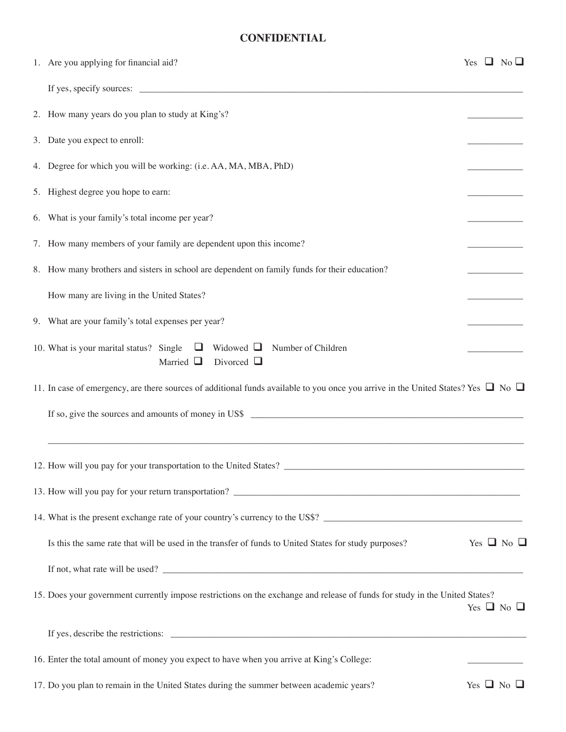## **CONFIDENTIAL**

| 1. Are you applying for financial aid?                                                                                                                                                              |  | Yes $\Box$ No $\Box$ |  |
|-----------------------------------------------------------------------------------------------------------------------------------------------------------------------------------------------------|--|----------------------|--|
|                                                                                                                                                                                                     |  |                      |  |
| 2. How many years do you plan to study at King's?                                                                                                                                                   |  |                      |  |
| 3. Date you expect to enroll:                                                                                                                                                                       |  |                      |  |
| 4. Degree for which you will be working: (i.e. AA, MA, MBA, PhD)                                                                                                                                    |  |                      |  |
| 5. Highest degree you hope to earn:                                                                                                                                                                 |  |                      |  |
| 6. What is your family's total income per year?                                                                                                                                                     |  |                      |  |
| 7. How many members of your family are dependent upon this income?                                                                                                                                  |  |                      |  |
| 8. How many brothers and sisters in school are dependent on family funds for their education?                                                                                                       |  |                      |  |
| How many are living in the United States?                                                                                                                                                           |  |                      |  |
| 9. What are your family's total expenses per year?                                                                                                                                                  |  |                      |  |
| $\Box$ Widowed $\Box$<br>10. What is your marital status? Single<br>Number of Children<br>Married $\Box$<br>Divorced $\Box$                                                                         |  |                      |  |
| 11. In case of emergency, are there sources of additional funds available to you once you arrive in the United States? Yes $\Box$ No $\Box$<br>If so, give the sources and amounts of money in US\$ |  |                      |  |
|                                                                                                                                                                                                     |  |                      |  |
| 12. How will you pay for your transportation to the United States?                                                                                                                                  |  |                      |  |
|                                                                                                                                                                                                     |  |                      |  |
| 14. What is the present exchange rate of your country's currency to the US\$?                                                                                                                       |  |                      |  |
| Is this the same rate that will be used in the transfer of funds to United States for study purposes?                                                                                               |  | Yes $\Box$ No $\Box$ |  |
|                                                                                                                                                                                                     |  |                      |  |
| 15. Does your government currently impose restrictions on the exchange and release of funds for study in the United States?                                                                         |  | Yes $\Box$ No $\Box$ |  |
| If yes, describe the restrictions:                                                                                                                                                                  |  |                      |  |
| 16. Enter the total amount of money you expect to have when you arrive at King's College:                                                                                                           |  |                      |  |
| $\lambda$ and $\lambda$ is the state of $\lambda$ is the state of $\lambda$ is the state of $\lambda$ is the state of $\lambda$ is the state of $\lambda$                                           |  |                      |  |

<sup>17.</sup> Do you plan to remain in the United States during the summer between academic years? Yes  $\Box$  No  $\Box$